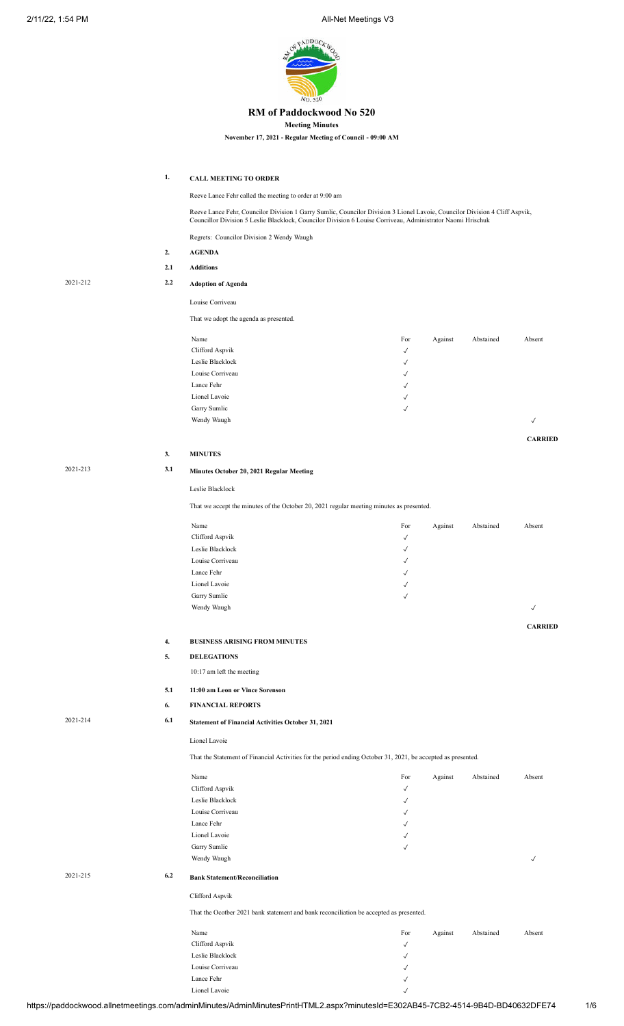

### **RM of Paddockwood No 520**

**Meeting Minutes**

**November 17, 2021 - Regular Meeting of Council - 09:00 AM**

**1. CALL MEETING TO ORDER**

Reeve Lance Fehr called the meeting to order at 9:00 am

Reeve Lance Fehr, Councilor Division 1 Garry Sumlic, Councilor Division 3 Lionel Lavoie, Councilor Division 4 Cliff Aspvik, Councillor Division 5 Leslie Blacklock, Councilor Division 6 Louise Corriveau, Administrator Naomi Hrischuk

Regrets: Councilor Division 2 Wendy Waugh

| 2.  | <b>AGENDA</b>                          |
|-----|----------------------------------------|
| 2.1 | <b>Additions</b>                       |
| 2.2 | <b>Adoption of Agenda</b>              |
|     | Louise Corriveau                       |
|     | That we adopt the agenda as presented. |
|     | Name                                   |
|     | Clifford Aspvik                        |

| Name             | For          | Against | Abstained | Absent       |
|------------------|--------------|---------|-----------|--------------|
| Clifford Aspvik  | $\sqrt{ }$   |         |           |              |
| Leslie Blacklock | $\sqrt{ }$   |         |           |              |
| Louise Corriveau | $\checkmark$ |         |           |              |
| Lance Fehr       | $\sqrt{ }$   |         |           |              |
| Lionel Lavoie    | $\sqrt{ }$   |         |           |              |
| Garry Sumlic     | $\checkmark$ |         |           |              |
| Wendy Waugh      |              |         |           | $\checkmark$ |

**CARRIED**

**3. MINUTES**

2021-215 **6.2 Bank Statement/Reconciliation**

2021-212 **2.2 Adoption of Agenda**

# 2021-213 **3.1 Minutes October 20, 2021 Regular Meeting**

#### Leslie Blacklock

That we accept the minutes of the October 20, 2021 regular meeting minutes as presented.

| Name             | For          | Against | Abstained | Absent         |
|------------------|--------------|---------|-----------|----------------|
| Clifford Aspvik  | $\checkmark$ |         |           |                |
| Leslie Blacklock | $\checkmark$ |         |           |                |
| Louise Corriveau | $\checkmark$ |         |           |                |
| Lance Fehr       | $\checkmark$ |         |           |                |
| Lionel Lavoie    | $\checkmark$ |         |           |                |
| Garry Sumlic     | $\checkmark$ |         |           |                |
| Wendy Waugh      |              |         |           | $\checkmark$   |
|                  |              |         |           |                |
|                  |              |         |           | <b>CARRIED</b> |

#### **4. BUSINESS ARISING FROM MINUTES**

**5. DELEGATIONS**

10:17 am left the meeting

#### **5.1 11:00 am Leon or Vince Sorenson**

**6. FINANCIAL REPORTS**

# 2021-214 **6.1 Statement of Financial Activities October 31, 2021**

Lionel Lavoie

That the Statement of Financial Activities for the period ending October 31, 2021, be accepted as presented.

|     | Name                                                                                   | For          | Against | Abstained | Absent       |
|-----|----------------------------------------------------------------------------------------|--------------|---------|-----------|--------------|
|     | Clifford Aspvik                                                                        | $\checkmark$ |         |           |              |
|     | Leslie Blacklock                                                                       | $\checkmark$ |         |           |              |
|     | Louise Corriveau                                                                       | √            |         |           |              |
|     | Lance Fehr                                                                             | √            |         |           |              |
|     | Lionel Lavoie                                                                          | √            |         |           |              |
|     | Garry Sumlic                                                                           | $\checkmark$ |         |           |              |
|     | Wendy Waugh                                                                            |              |         |           | $\checkmark$ |
| 6.2 | <b>Bank Statement/Reconciliation</b>                                                   |              |         |           |              |
|     | Clifford Aspvik                                                                        |              |         |           |              |
|     | That the Ocotber 2021 bank statement and bank reconciliation be accepted as presented. |              |         |           |              |
|     | Name                                                                                   | For          | Against | Abstained | Absent       |
|     | Clifford Aspvik                                                                        | $\checkmark$ |         |           |              |
|     | Leslie Blacklock                                                                       | $\checkmark$ |         |           |              |
|     | Louise Corriveau                                                                       | √            |         |           |              |

Lance Fehr  $\checkmark$ Lionel Lavoie ✓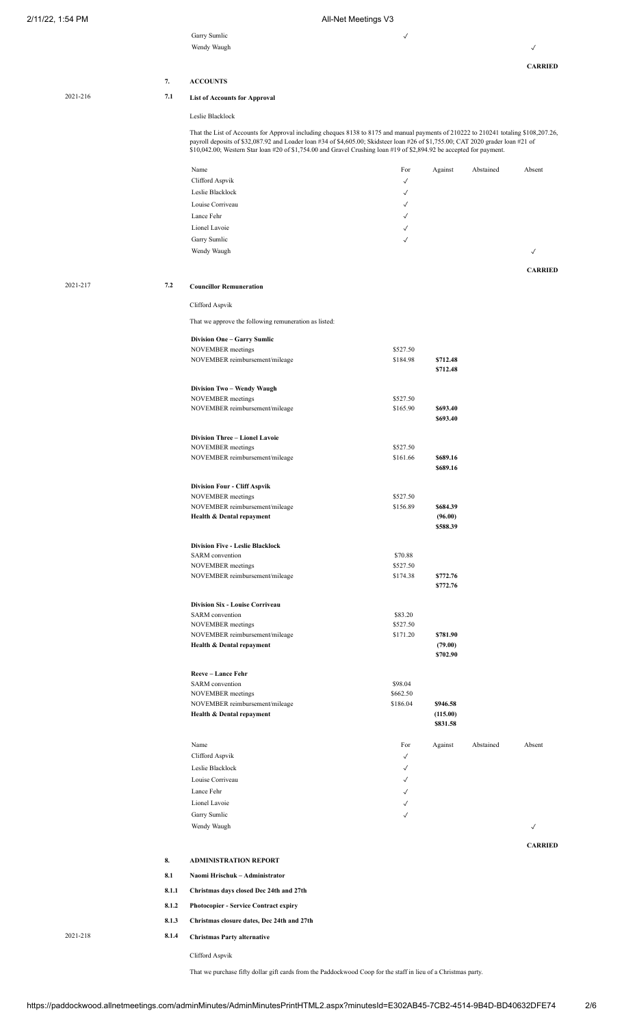Garry Sumlic  $\checkmark$ 

|          |                | Wendy Waugh                                                                                                                                                                                                                                              |                              |                      |           | √              |
|----------|----------------|----------------------------------------------------------------------------------------------------------------------------------------------------------------------------------------------------------------------------------------------------------|------------------------------|----------------------|-----------|----------------|
|          |                |                                                                                                                                                                                                                                                          |                              |                      |           | <b>CARRIED</b> |
|          | 7.             | <b>ACCOUNTS</b>                                                                                                                                                                                                                                          |                              |                      |           |                |
| 2021-216 | 7.1            | <b>List of Accounts for Approval</b>                                                                                                                                                                                                                     |                              |                      |           |                |
|          |                | Leslie Blacklock                                                                                                                                                                                                                                         |                              |                      |           |                |
|          |                | That the List of Accounts for Approval including cheques 8138 to 8175 and manual payments of 210222 to 210241 totaling \$108,207.26,                                                                                                                     |                              |                      |           |                |
|          |                | payroll deposits of \$32,087.92 and Loader loan #34 of \$4,605.00; Skidsteer loan #26 of \$1,755.00; CAT 2020 grader loan #21 of<br>\$10,042.00; Western Star loan #20 of \$1,754.00 and Gravel Crushing loan #19 of \$2,894.92 be accepted for payment. |                              |                      |           |                |
|          |                | Name                                                                                                                                                                                                                                                     | For                          | Against              | Abstained | Absent         |
|          |                | Clifford Aspvik                                                                                                                                                                                                                                          | $\checkmark$                 |                      |           |                |
|          |                | Leslie Blacklock                                                                                                                                                                                                                                         | $\checkmark$                 |                      |           |                |
|          |                | Louise Corriveau                                                                                                                                                                                                                                         | ✓                            |                      |           |                |
|          |                | Lance Fehr                                                                                                                                                                                                                                               | ✓                            |                      |           |                |
|          |                | Lionel Lavoie                                                                                                                                                                                                                                            | $\checkmark$                 |                      |           |                |
|          |                | Garry Sumlic                                                                                                                                                                                                                                             | $\checkmark$                 |                      |           |                |
|          |                | Wendy Waugh                                                                                                                                                                                                                                              |                              |                      |           | $\checkmark$   |
| 2021-217 | 7.2            | <b>Councillor Remuneration</b>                                                                                                                                                                                                                           |                              |                      |           | <b>CARRIED</b> |
|          |                | Clifford Aspvik                                                                                                                                                                                                                                          |                              |                      |           |                |
|          |                | That we approve the following remuneration as listed:                                                                                                                                                                                                    |                              |                      |           |                |
|          |                | <b>Division One - Garry Sumlic</b>                                                                                                                                                                                                                       |                              |                      |           |                |
|          |                | NOVEMBER meetings                                                                                                                                                                                                                                        | \$527.50                     |                      |           |                |
|          |                | NOVEMBER reimbursement/mileage                                                                                                                                                                                                                           | \$184.98                     | \$712.48<br>\$712.48 |           |                |
|          |                |                                                                                                                                                                                                                                                          |                              |                      |           |                |
|          |                | Division Two - Wendy Waugh                                                                                                                                                                                                                               |                              |                      |           |                |
|          |                | NOVEMBER meetings<br>NOVEMBER reimbursement/mileage                                                                                                                                                                                                      | \$527.50<br>\$165.90         | \$693.40             |           |                |
|          |                |                                                                                                                                                                                                                                                          |                              | \$693.40             |           |                |
|          |                | Division Three - Lionel Lavoie                                                                                                                                                                                                                           |                              |                      |           |                |
|          |                | NOVEMBER meetings                                                                                                                                                                                                                                        | \$527.50                     |                      |           |                |
|          |                | NOVEMBER reimbursement/mileage                                                                                                                                                                                                                           | \$161.66                     | \$689.16<br>\$689.16 |           |                |
|          |                | <b>Division Four - Cliff Aspvik</b>                                                                                                                                                                                                                      |                              |                      |           |                |
|          |                | NOVEMBER meetings                                                                                                                                                                                                                                        | \$527.50                     |                      |           |                |
|          |                | NOVEMBER reimbursement/mileage                                                                                                                                                                                                                           | \$156.89                     | \$684.39             |           |                |
|          |                | Health & Dental repayment                                                                                                                                                                                                                                |                              | (96.00)<br>\$588.39  |           |                |
|          |                | <b>Division Five - Leslie Blacklock</b>                                                                                                                                                                                                                  |                              |                      |           |                |
|          |                | SARM convention                                                                                                                                                                                                                                          | \$70.88                      |                      |           |                |
|          |                | NOVEMBER meetings<br>NOVEMBER reimbursement/mileage                                                                                                                                                                                                      | \$527.50<br>\$174.38         | \$772.76             |           |                |
|          |                |                                                                                                                                                                                                                                                          |                              | \$772.76             |           |                |
|          |                | Division Six - Louise Corriveau                                                                                                                                                                                                                          |                              |                      |           |                |
|          |                | SARM convention                                                                                                                                                                                                                                          | \$83.20                      |                      |           |                |
|          |                | NOVEMBER meetings<br>NOVEMBER reimbursement/mileage                                                                                                                                                                                                      | \$527.50<br>\$171.20         | \$781.90             |           |                |
|          |                | Health & Dental repayment                                                                                                                                                                                                                                |                              | (79.00)              |           |                |
|          |                |                                                                                                                                                                                                                                                          |                              | \$702.90             |           |                |
|          |                | Reeve - Lance Fehr                                                                                                                                                                                                                                       |                              |                      |           |                |
|          |                | SARM convention<br>NOVEMBER meetings                                                                                                                                                                                                                     | \$98.04<br>\$662.50          |                      |           |                |
|          |                | NOVEMBER reimbursement/mileage                                                                                                                                                                                                                           | \$186.04                     | \$946.58             |           |                |
|          |                | Health & Dental repayment                                                                                                                                                                                                                                |                              | (115.00)<br>\$831.58 |           |                |
|          |                |                                                                                                                                                                                                                                                          |                              |                      |           |                |
|          |                | Name                                                                                                                                                                                                                                                     | For                          | Against              | Abstained | Absent         |
|          |                | Clifford Aspvik<br>Leslie Blacklock                                                                                                                                                                                                                      | $\checkmark$                 |                      |           |                |
|          |                | Louise Corriveau                                                                                                                                                                                                                                         | $\checkmark$<br>$\checkmark$ |                      |           |                |
|          |                | Lance Fehr                                                                                                                                                                                                                                               | $\checkmark$                 |                      |           |                |
|          |                | Lionel Lavoie                                                                                                                                                                                                                                            | $\checkmark$                 |                      |           |                |
|          |                | Garry Sumlic                                                                                                                                                                                                                                             | $\checkmark$                 |                      |           |                |
|          |                | Wendy Waugh                                                                                                                                                                                                                                              |                              |                      |           | $\checkmark$   |
|          |                |                                                                                                                                                                                                                                                          |                              |                      |           | <b>CARRIED</b> |
|          | 8.             | <b>ADMINISTRATION REPORT</b>                                                                                                                                                                                                                             |                              |                      |           |                |
|          | 8.1            | Naomi Hrischuk - Administrator                                                                                                                                                                                                                           |                              |                      |           |                |
|          | 8.1.1          | Christmas days closed Dec 24th and 27th                                                                                                                                                                                                                  |                              |                      |           |                |
|          | 8.1.2          | Photocopier - Service Contract expiry                                                                                                                                                                                                                    |                              |                      |           |                |
| 2021-218 | 8.1.3<br>8.1.4 | Christmas closure dates, Dec 24th and 27th                                                                                                                                                                                                               |                              |                      |           |                |
|          |                | <b>Christmas Party alternative</b>                                                                                                                                                                                                                       |                              |                      |           |                |

That we purchase fifty dollar gift cards from the Paddockwood Coop for the staff in lieu of a Christmas party.

Clifford Aspvik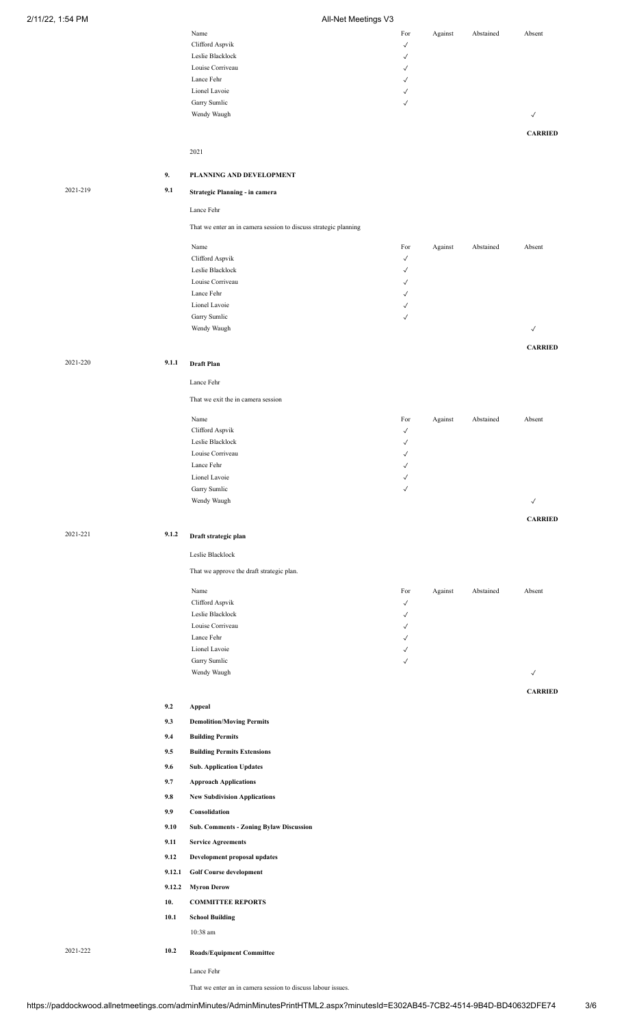| Name             | For          | Against | Abstained | Absent         |
|------------------|--------------|---------|-----------|----------------|
| Clifford Aspvik  | $\checkmark$ |         |           |                |
| Leslie Blacklock | $\checkmark$ |         |           |                |
| Louise Corriveau | $\checkmark$ |         |           |                |
| Lance Fehr       | $\checkmark$ |         |           |                |
| Lionel Lavoie    | $\checkmark$ |         |           |                |
| Garry Sumlic     | $\checkmark$ |         |           |                |
| Wendy Waugh      |              |         |           | $\checkmark$   |
|                  |              |         |           | <b>CARRIED</b> |
|                  |              |         |           |                |
| 2021             |              |         |           |                |

#### **9. PLANNING AND DEVELOPMENT**

2021-219 **9.1 Strategic Planning - in camera**

Lance Fehr

That we enter an in camera session to discuss strategic planning

| Name             | For          | Against | Abstained | Absent |
|------------------|--------------|---------|-----------|--------|
| Clifford Aspvik  | $\checkmark$ |         |           |        |
| Leslie Blacklock | $\checkmark$ |         |           |        |
| Louise Corriveau | $\checkmark$ |         |           |        |
| Lance Fehr       | $\checkmark$ |         |           |        |
| Lionel Lavoie    | $\checkmark$ |         |           |        |
| Garry Sumlic     | $\sqrt{ }$   |         |           |        |
| Wendy Waugh      |              |         |           | √      |
|                  |              |         |           |        |

**CARRIED**

**CARRIED**

**CARRIED**

2021-220 **9.1.1 Draft Plan**

# Lance Fehr

That we exit the in camera session

| Name             | For          | Against | Abstained | Absent       |
|------------------|--------------|---------|-----------|--------------|
| Clifford Aspvik  | $\checkmark$ |         |           |              |
| Leslie Blacklock | $\checkmark$ |         |           |              |
| Louise Corriveau | $\checkmark$ |         |           |              |
| Lance Fehr       | $\checkmark$ |         |           |              |
| Lionel Lavoie    | $\checkmark$ |         |           |              |
| Garry Sumlic     | $\checkmark$ |         |           |              |
| Wendy Waugh      |              |         |           | $\checkmark$ |
|                  |              |         |           |              |

# 2021-221 **9.1.2 Draft strategic plan**

Leslie Blacklock

That we approve the draft strategic plan.

| Name             | For          | Against | Abstained | Absent |
|------------------|--------------|---------|-----------|--------|
| Clifford Aspvik  | $\checkmark$ |         |           |        |
| Leslie Blacklock | $\checkmark$ |         |           |        |
| Louise Corriveau | $\checkmark$ |         |           |        |
| Lance Fehr       | $\checkmark$ |         |           |        |
| Lionel Lavoie    | $\checkmark$ |         |           |        |
| Garry Sumlic     | $\checkmark$ |         |           |        |
| Wendy Waugh      |              |         |           | √      |
|                  |              |         |           |        |

**9.2 Appeal**

- **9.3 Demolition/Moving Permits**
- **9.4 Building Permits**
- **9.5 Building Permits Extensions**
- **9.6 Sub. Application Updates**
- **9.7 Approach Applications**
- **9.8 New Subdivision Applications**
- **9.9 Consolidation**
- **9.10 Sub. Comments Zoning Bylaw Discussion**
- **9.11 Service Agreements**
- **9.12 Development proposal updates**
- **9.12.1 Golf Course development**
- **9.12.2 Myron Derow**
- **10. COMMITTEE REPORTS**
- **10.1 School Building** 10:38 am

2021-222 **10.2 Roads/Equipment Committee**

Lance Fehr

That we enter an in camera session to discuss labour issues.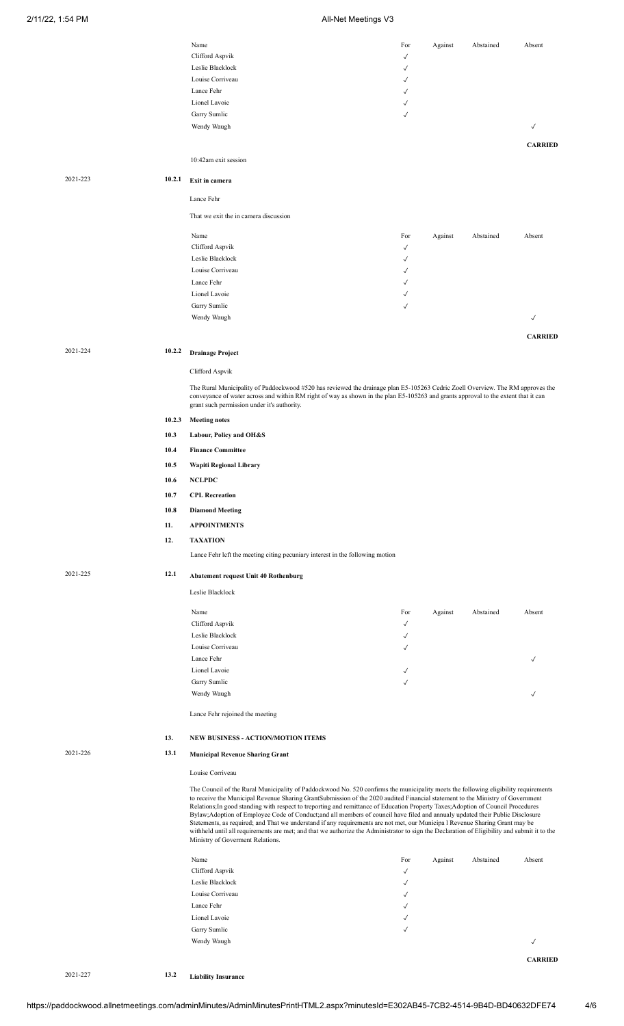|          |        | Name<br>Clifford Aspvik                                                                                                                                                                                                                                               | For                          | Against | Abstained | Absent         |
|----------|--------|-----------------------------------------------------------------------------------------------------------------------------------------------------------------------------------------------------------------------------------------------------------------------|------------------------------|---------|-----------|----------------|
|          |        | Leslie Blacklock                                                                                                                                                                                                                                                      | ✓<br>√                       |         |           |                |
|          |        | Louise Corriveau                                                                                                                                                                                                                                                      | √                            |         |           |                |
|          |        | Lance Fehr                                                                                                                                                                                                                                                            | √                            |         |           |                |
|          |        | Lionel Lavoie                                                                                                                                                                                                                                                         | ✓                            |         |           |                |
|          |        | Garry Sumlic                                                                                                                                                                                                                                                          | √                            |         |           |                |
|          |        | Wendy Waugh                                                                                                                                                                                                                                                           |                              |         |           | $\checkmark$   |
|          |        |                                                                                                                                                                                                                                                                       |                              |         |           | <b>CARRIED</b> |
|          |        | 10:42am exit session                                                                                                                                                                                                                                                  |                              |         |           |                |
|          |        |                                                                                                                                                                                                                                                                       |                              |         |           |                |
| 2021-223 | 10.2.1 | Exit in camera                                                                                                                                                                                                                                                        |                              |         |           |                |
|          |        | Lance Fehr                                                                                                                                                                                                                                                            |                              |         |           |                |
|          |        |                                                                                                                                                                                                                                                                       |                              |         |           |                |
|          |        | That we exit the in camera discussion                                                                                                                                                                                                                                 |                              |         |           |                |
|          |        | Name                                                                                                                                                                                                                                                                  | For                          | Against | Abstained | Absent         |
|          |        | Clifford Aspvik                                                                                                                                                                                                                                                       | ✓                            |         |           |                |
|          |        | Leslie Blacklock                                                                                                                                                                                                                                                      | √                            |         |           |                |
|          |        | Louise Corriveau                                                                                                                                                                                                                                                      | ✓                            |         |           |                |
|          |        | Lance Fehr                                                                                                                                                                                                                                                            | √                            |         |           |                |
|          |        | Lionel Lavoie<br>Garry Sumlic                                                                                                                                                                                                                                         | √<br>$\checkmark$            |         |           |                |
|          |        | Wendy Waugh                                                                                                                                                                                                                                                           |                              |         |           | $\checkmark$   |
|          |        |                                                                                                                                                                                                                                                                       |                              |         |           |                |
|          |        |                                                                                                                                                                                                                                                                       |                              |         |           | <b>CARRIED</b> |
| 2021-224 | 10.2.2 | <b>Drainage Project</b>                                                                                                                                                                                                                                               |                              |         |           |                |
|          |        | Clifford Aspvik                                                                                                                                                                                                                                                       |                              |         |           |                |
|          |        | The Rural Municipality of Paddockwood #520 has reviewed the drainage plan E5-105263 Cedric Zoell Overview. The RM approves the                                                                                                                                        |                              |         |           |                |
|          |        | conveyance of water across and within RM right of way as shown in the plan E5-105263 and grants approval to the extent that it can                                                                                                                                    |                              |         |           |                |
|          |        | grant such permission under it's authority.                                                                                                                                                                                                                           |                              |         |           |                |
|          | 10.2.3 | <b>Meeting notes</b>                                                                                                                                                                                                                                                  |                              |         |           |                |
|          | 10.3   | Labour, Policy and OH&S                                                                                                                                                                                                                                               |                              |         |           |                |
|          | 10.4   | <b>Finance Committee</b>                                                                                                                                                                                                                                              |                              |         |           |                |
|          | 10.5   | Wapiti Regional Library                                                                                                                                                                                                                                               |                              |         |           |                |
|          | 10.6   | <b>NCLPDC</b>                                                                                                                                                                                                                                                         |                              |         |           |                |
|          | 10.7   | <b>CPL Recreation</b>                                                                                                                                                                                                                                                 |                              |         |           |                |
|          | 10.8   |                                                                                                                                                                                                                                                                       |                              |         |           |                |
|          |        | <b>Diamond Meeting</b>                                                                                                                                                                                                                                                |                              |         |           |                |
|          | 11.    | <b>APPOINTMENTS</b>                                                                                                                                                                                                                                                   |                              |         |           |                |
|          | 12.    | <b>TAXATION</b>                                                                                                                                                                                                                                                       |                              |         |           |                |
|          |        | Lance Fehr left the meeting citing pecuniary interest in the following motion                                                                                                                                                                                         |                              |         |           |                |
| 2021-225 | 12.1   | <b>Abatement request Unit 40 Rothenburg</b>                                                                                                                                                                                                                           |                              |         |           |                |
|          |        | Leslie Blacklock                                                                                                                                                                                                                                                      |                              |         |           |                |
|          |        |                                                                                                                                                                                                                                                                       |                              |         |           |                |
|          |        | Name                                                                                                                                                                                                                                                                  | For                          | Against | Abstained | Absent         |
|          |        | Clifford Aspvik                                                                                                                                                                                                                                                       | $\checkmark$                 |         |           |                |
|          |        | Leslie Blacklock<br>Louise Corriveau                                                                                                                                                                                                                                  | $\checkmark$<br>$\checkmark$ |         |           |                |
|          |        | Lance Fehr                                                                                                                                                                                                                                                            |                              |         |           | $\checkmark$   |
|          |        | Lionel Lavoie                                                                                                                                                                                                                                                         | √                            |         |           |                |
|          |        | Garry Sumlic                                                                                                                                                                                                                                                          | $\checkmark$                 |         |           |                |
|          |        | Wendy Waugh                                                                                                                                                                                                                                                           |                              |         |           | $\checkmark$   |
|          |        | Lance Fehr rejoined the meeting                                                                                                                                                                                                                                       |                              |         |           |                |
|          |        |                                                                                                                                                                                                                                                                       |                              |         |           |                |
|          | 13.    | NEW BUSINESS - ACTION/MOTION ITEMS                                                                                                                                                                                                                                    |                              |         |           |                |
| 2021-226 | 13.1   | <b>Municipal Revenue Sharing Grant</b>                                                                                                                                                                                                                                |                              |         |           |                |
|          |        | Louise Corriveau                                                                                                                                                                                                                                                      |                              |         |           |                |
|          |        |                                                                                                                                                                                                                                                                       |                              |         |           |                |
|          |        | The Council of the Rural Municipality of Paddockwood No. 520 confirms the municipality meets the following eligibility requirements<br>to receive the Municipal Revenue Sharing GrantSubmission of the 2020 audited Financial statement to the Ministry of Government |                              |         |           |                |
|          |        | Relations; In good standing with respect to treporting and remittance of Education Property Taxes; Adoption of Council Procedures                                                                                                                                     |                              |         |           |                |
|          |        | Bylaw;Adoption of Employee Code of Conduct;and all members of council have filed and annualy updated their Public Disclosure<br>Stetements, as required; and That we understand if any requirements are not met, our Municipa I Revenue Sharing Grant may be          |                              |         |           |                |
|          |        | withheld until all requirements are met; and that we authorize the Administrator to sign the Declaration of Eligibility and submit it to the<br>Ministry of Goverment Relations.                                                                                      |                              |         |           |                |
|          |        |                                                                                                                                                                                                                                                                       |                              |         |           |                |
|          |        | Name                                                                                                                                                                                                                                                                  | For                          | Against | Abstained | Absent         |
|          |        | Clifford Aspvik                                                                                                                                                                                                                                                       | $\checkmark$                 |         |           |                |
|          |        | Leslie Blacklock                                                                                                                                                                                                                                                      | $\checkmark$                 |         |           |                |
|          |        | Louise Corriveau<br>Lance Fehr                                                                                                                                                                                                                                        | $\checkmark$<br>✓            |         |           |                |
|          |        | Lionel Lavoie                                                                                                                                                                                                                                                         | √                            |         |           |                |
|          |        | Garry Sumlic                                                                                                                                                                                                                                                          | $\checkmark$                 |         |           |                |
|          |        | Wendy Waugh                                                                                                                                                                                                                                                           |                              |         |           | $\checkmark$   |
|          |        |                                                                                                                                                                                                                                                                       |                              |         |           | <b>CARRIED</b> |
|          |        |                                                                                                                                                                                                                                                                       |                              |         |           |                |

2021-227 **13.2 Liability Insurance**

https://paddockwood.allnetmeetings.com/adminMinutes/AdminMinutesPrintHTML2.aspx?minutesId=E302AB45-7CB2-4514-9B4D-BD40632DFE74 4/6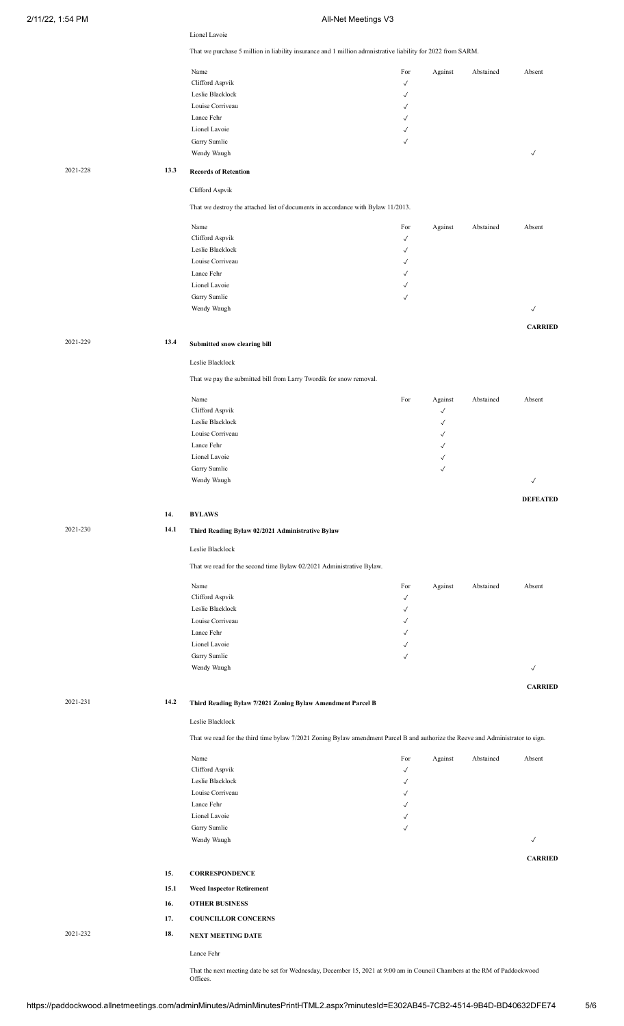|          |      | Lionel Lavoie                                                                                                                            |                              |                              |           |                 |
|----------|------|------------------------------------------------------------------------------------------------------------------------------------------|------------------------------|------------------------------|-----------|-----------------|
|          |      | That we purchase 5 million in liability insurance and 1 million admnistrative liability for 2022 from SARM.                              |                              |                              |           |                 |
|          |      | Name                                                                                                                                     | For                          | Against                      | Abstained | Absent          |
|          |      | Clifford Aspvik                                                                                                                          | $\checkmark$                 |                              |           |                 |
|          |      | Leslie Blacklock                                                                                                                         | $\checkmark$                 |                              |           |                 |
|          |      | Louise Corriveau                                                                                                                         | ✓                            |                              |           |                 |
|          |      | Lance Fehr<br>Lionel Lavoie                                                                                                              | $\checkmark$                 |                              |           |                 |
|          |      | Garry Sumlic                                                                                                                             | $\checkmark$<br>$\checkmark$ |                              |           |                 |
|          |      | Wendy Waugh                                                                                                                              |                              |                              |           | √               |
|          |      |                                                                                                                                          |                              |                              |           |                 |
| 2021-228 | 13.3 | <b>Records of Retention</b>                                                                                                              |                              |                              |           |                 |
|          |      | Clifford Aspvik                                                                                                                          |                              |                              |           |                 |
|          |      | That we destroy the attached list of documents in accordance with Bylaw 11/2013.                                                         |                              |                              |           |                 |
|          |      |                                                                                                                                          |                              |                              |           |                 |
|          |      | Name<br>Clifford Aspvik                                                                                                                  | For<br>$\checkmark$          | Against                      | Abstained | Absent          |
|          |      | Leslie Blacklock                                                                                                                         | $\checkmark$                 |                              |           |                 |
|          |      | Louise Corriveau                                                                                                                         | $\checkmark$                 |                              |           |                 |
|          |      | Lance Fehr                                                                                                                               | $\checkmark$                 |                              |           |                 |
|          |      | Lionel Lavoie                                                                                                                            | $\checkmark$                 |                              |           |                 |
|          |      | Garry Sumlic                                                                                                                             | $\checkmark$                 |                              |           |                 |
|          |      | Wendy Waugh                                                                                                                              |                              |                              |           | $\checkmark$    |
|          |      |                                                                                                                                          |                              |                              |           | <b>CARRIED</b>  |
| 2021-229 | 13.4 | Submitted snow clearing bill                                                                                                             |                              |                              |           |                 |
|          |      | Leslie Blacklock                                                                                                                         |                              |                              |           |                 |
|          |      |                                                                                                                                          |                              |                              |           |                 |
|          |      | That we pay the submitted bill from Larry Twordik for snow removal.                                                                      |                              |                              |           |                 |
|          |      | Name                                                                                                                                     | For                          | Against                      | Abstained | Absent          |
|          |      | Clifford Aspvik                                                                                                                          |                              | $\checkmark$                 |           |                 |
|          |      | Leslie Blacklock                                                                                                                         |                              | ✓                            |           |                 |
|          |      | Louise Corriveau                                                                                                                         |                              | √                            |           |                 |
|          |      | Lance Fehr<br>Lionel Lavoie                                                                                                              |                              | $\checkmark$<br>$\checkmark$ |           |                 |
|          |      | Garry Sumlic                                                                                                                             |                              | $\checkmark$                 |           |                 |
|          |      | Wendy Waugh                                                                                                                              |                              |                              |           | $\checkmark$    |
|          |      |                                                                                                                                          |                              |                              |           |                 |
|          |      |                                                                                                                                          |                              |                              |           | <b>DEFEATED</b> |
|          | 14.  | <b>BYLAWS</b>                                                                                                                            |                              |                              |           |                 |
|          |      |                                                                                                                                          |                              |                              |           |                 |
| 2021-230 | 14.1 | Third Reading Bylaw 02/2021 Administrative Bylaw                                                                                         |                              |                              |           |                 |
|          |      | Leslie Blacklock                                                                                                                         |                              |                              |           |                 |
|          |      |                                                                                                                                          |                              |                              |           |                 |
|          |      | That we read for the second time Bylaw 02/2021 Administrative Bylaw.                                                                     |                              |                              |           |                 |
|          |      | Name                                                                                                                                     | For                          | Against                      | Abstained | Absent          |
|          |      | Clifford Aspvik                                                                                                                          | $\checkmark$                 |                              |           |                 |
|          |      | Leslie Blacklock                                                                                                                         | $\checkmark$                 |                              |           |                 |
|          |      | Louise Corriveau                                                                                                                         | $\checkmark$                 |                              |           |                 |
|          |      | Lance Fehr<br>Lionel Lavoie                                                                                                              | ✓<br>$\checkmark$            |                              |           |                 |
|          |      | Garry Sumlic                                                                                                                             | $\checkmark$                 |                              |           |                 |
|          |      | Wendy Waugh                                                                                                                              |                              |                              |           | $\checkmark$    |
|          |      |                                                                                                                                          |                              |                              |           |                 |
|          |      |                                                                                                                                          |                              |                              |           | <b>CARRIED</b>  |
| 2021-231 | 14.2 | Third Reading Bylaw 7/2021 Zoning Bylaw Amendment Parcel B                                                                               |                              |                              |           |                 |
|          |      | Leslie Blacklock                                                                                                                         |                              |                              |           |                 |
|          |      | That we read for the third time bylaw 7/2021 Zoning Bylaw amendment Parcel B and authorize the Reeve and Administrator to sign.          |                              |                              |           |                 |
|          |      |                                                                                                                                          |                              |                              |           |                 |
|          |      | Name<br>Clifford Aspvik                                                                                                                  | For<br>$\checkmark$          | Against                      | Abstained | Absent          |
|          |      | Leslie Blacklock                                                                                                                         | $\checkmark$                 |                              |           |                 |
|          |      | Louise Corriveau                                                                                                                         | $\checkmark$                 |                              |           |                 |
|          |      | Lance Fehr                                                                                                                               | ✓                            |                              |           |                 |
|          |      | Lionel Lavoie                                                                                                                            | $\checkmark$                 |                              |           |                 |
|          |      | Garry Sumlic                                                                                                                             | $\checkmark$                 |                              |           |                 |
|          |      | Wendy Waugh                                                                                                                              |                              |                              |           | $\checkmark$    |
|          |      |                                                                                                                                          |                              |                              |           | <b>CARRIED</b>  |
|          | 15.  | <b>CORRESPONDENCE</b>                                                                                                                    |                              |                              |           |                 |
|          | 15.1 | <b>Weed Inspector Retirement</b>                                                                                                         |                              |                              |           |                 |
|          | 16.  | <b>OTHER BUSINESS</b>                                                                                                                    |                              |                              |           |                 |
|          | 17.  | <b>COUNCILLOR CONCERNS</b>                                                                                                               |                              |                              |           |                 |
| 2021-232 | 18.  | <b>NEXT MEETING DATE</b>                                                                                                                 |                              |                              |           |                 |
|          |      |                                                                                                                                          |                              |                              |           |                 |
|          |      | Lance Fehr<br>That the next meeting date be set for Wednesday, December 15, 2021 at 9:00 am in Council Chambers at the RM of Paddockwood |                              |                              |           |                 |